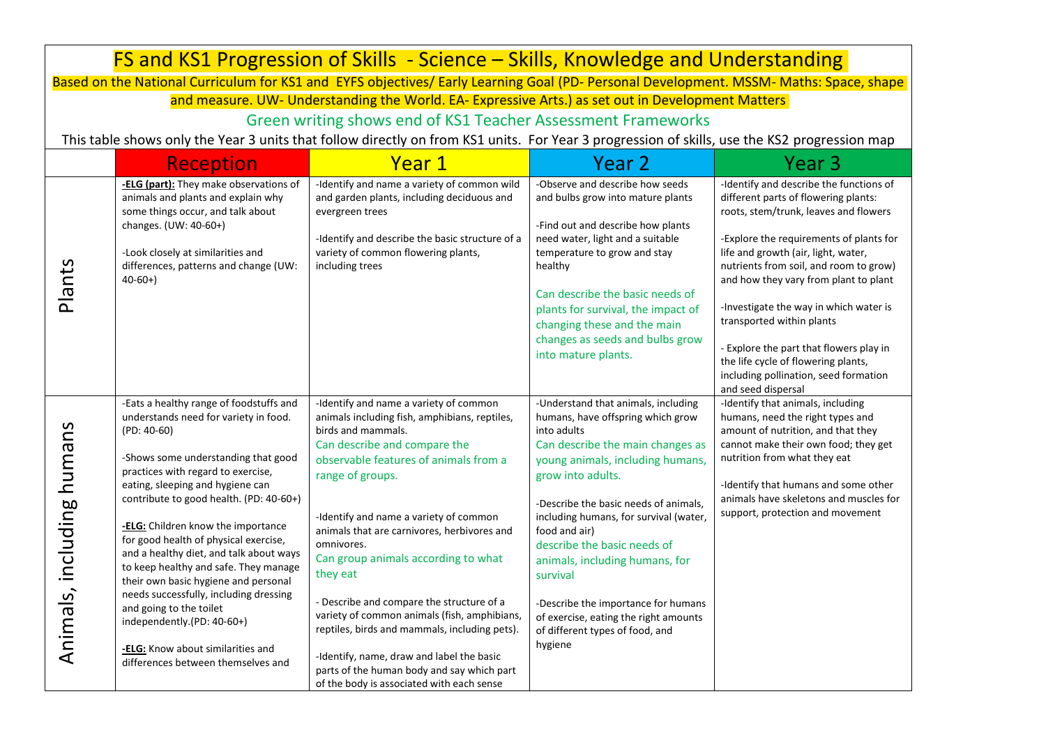| FS and KS1 Progression of Skills - Science – Skills, Knowledge and Understanding |                                                                                                                                                                                                                                                                                                                                                                                                                                                                                                                                                                                                                                                        |                                                                                                                                                                                                                                                                                                                                                                                                                                                                                                                                                                                                                                                            |                                                                                                                                                                                                                                                                                                                                                                                                                                                                                                     |                                                                                                                                                                                                                                                                                                                                                                                                                                                                                                                       |
|----------------------------------------------------------------------------------|--------------------------------------------------------------------------------------------------------------------------------------------------------------------------------------------------------------------------------------------------------------------------------------------------------------------------------------------------------------------------------------------------------------------------------------------------------------------------------------------------------------------------------------------------------------------------------------------------------------------------------------------------------|------------------------------------------------------------------------------------------------------------------------------------------------------------------------------------------------------------------------------------------------------------------------------------------------------------------------------------------------------------------------------------------------------------------------------------------------------------------------------------------------------------------------------------------------------------------------------------------------------------------------------------------------------------|-----------------------------------------------------------------------------------------------------------------------------------------------------------------------------------------------------------------------------------------------------------------------------------------------------------------------------------------------------------------------------------------------------------------------------------------------------------------------------------------------------|-----------------------------------------------------------------------------------------------------------------------------------------------------------------------------------------------------------------------------------------------------------------------------------------------------------------------------------------------------------------------------------------------------------------------------------------------------------------------------------------------------------------------|
|                                                                                  |                                                                                                                                                                                                                                                                                                                                                                                                                                                                                                                                                                                                                                                        | Based on the National Curriculum for KS1 and EYFS objectives/ Early Learning Goal (PD- Personal Development. MSSM- Maths: Space, shape                                                                                                                                                                                                                                                                                                                                                                                                                                                                                                                     |                                                                                                                                                                                                                                                                                                                                                                                                                                                                                                     |                                                                                                                                                                                                                                                                                                                                                                                                                                                                                                                       |
|                                                                                  |                                                                                                                                                                                                                                                                                                                                                                                                                                                                                                                                                                                                                                                        | and measure. UW- Understanding the World. EA- Expressive Arts.) as set out in Development Matters                                                                                                                                                                                                                                                                                                                                                                                                                                                                                                                                                          |                                                                                                                                                                                                                                                                                                                                                                                                                                                                                                     |                                                                                                                                                                                                                                                                                                                                                                                                                                                                                                                       |
|                                                                                  |                                                                                                                                                                                                                                                                                                                                                                                                                                                                                                                                                                                                                                                        | Green writing shows end of KS1 Teacher Assessment Frameworks                                                                                                                                                                                                                                                                                                                                                                                                                                                                                                                                                                                               |                                                                                                                                                                                                                                                                                                                                                                                                                                                                                                     |                                                                                                                                                                                                                                                                                                                                                                                                                                                                                                                       |
|                                                                                  |                                                                                                                                                                                                                                                                                                                                                                                                                                                                                                                                                                                                                                                        | This table shows only the Year 3 units that follow directly on from KS1 units. For Year 3 progression of skills, use the KS2 progression map                                                                                                                                                                                                                                                                                                                                                                                                                                                                                                               |                                                                                                                                                                                                                                                                                                                                                                                                                                                                                                     |                                                                                                                                                                                                                                                                                                                                                                                                                                                                                                                       |
|                                                                                  | <b>Reception</b>                                                                                                                                                                                                                                                                                                                                                                                                                                                                                                                                                                                                                                       | Year 1                                                                                                                                                                                                                                                                                                                                                                                                                                                                                                                                                                                                                                                     | Year <sub>2</sub>                                                                                                                                                                                                                                                                                                                                                                                                                                                                                   | Year <sub>3</sub>                                                                                                                                                                                                                                                                                                                                                                                                                                                                                                     |
| Plants                                                                           | -ELG (part): They make observations of<br>animals and plants and explain why<br>some things occur, and talk about<br>changes. (UW: 40-60+)<br>-Look closely at similarities and<br>differences, patterns and change (UW:<br>$40-60+$                                                                                                                                                                                                                                                                                                                                                                                                                   | -Identify and name a variety of common wild<br>and garden plants, including deciduous and<br>evergreen trees<br>-Identify and describe the basic structure of a<br>variety of common flowering plants,<br>including trees                                                                                                                                                                                                                                                                                                                                                                                                                                  | -Observe and describe how seeds<br>and bulbs grow into mature plants<br>-Find out and describe how plants<br>need water, light and a suitable<br>temperature to grow and stay<br>healthy<br>Can describe the basic needs of<br>plants for survival, the impact of<br>changing these and the main<br>changes as seeds and bulbs grow<br>into mature plants.                                                                                                                                          | -Identify and describe the functions of<br>different parts of flowering plants:<br>roots, stem/trunk, leaves and flowers<br>-Explore the requirements of plants for<br>life and growth (air, light, water,<br>nutrients from soil, and room to grow)<br>and how they vary from plant to plant<br>-Investigate the way in which water is<br>transported within plants<br>- Explore the part that flowers play in<br>the life cycle of flowering plants,<br>including pollination, seed formation<br>and seed dispersal |
| Animals, including humans                                                        | -Eats a healthy range of foodstuffs and<br>understands need for variety in food.<br>$(PD: 40-60)$<br>-Shows some understanding that good<br>practices with regard to exercise,<br>eating, sleeping and hygiene can<br>contribute to good health. (PD: 40-60+)<br>-ELG: Children know the importance<br>for good health of physical exercise,<br>and a healthy diet, and talk about ways<br>to keep healthy and safe. They manage<br>their own basic hygiene and personal<br>needs successfully, including dressing<br>and going to the toilet<br>independently.(PD: 40-60+)<br>-ELG: Know about similarities and<br>differences between themselves and | -Identify and name a variety of common<br>animals including fish, amphibians, reptiles,<br>birds and mammals.<br>Can describe and compare the<br>observable features of animals from a<br>range of groups.<br>-Identify and name a variety of common<br>animals that are carnivores, herbivores and<br>omnivores.<br>Can group animals according to what<br>they eat<br>- Describe and compare the structure of a<br>variety of common animals (fish, amphibians,<br>reptiles, birds and mammals, including pets).<br>-Identify, name, draw and label the basic<br>parts of the human body and say which part<br>of the body is associated with each sense | -Understand that animals, including<br>humans, have offspring which grow<br>into adults<br>Can describe the main changes as<br>young animals, including humans,<br>grow into adults.<br>-Describe the basic needs of animals,<br>including humans, for survival (water,<br>food and air)<br>describe the basic needs of<br>animals, including humans, for<br>survival<br>-Describe the importance for humans<br>of exercise, eating the right amounts<br>of different types of food, and<br>hygiene | -Identify that animals, including<br>humans, need the right types and<br>amount of nutrition, and that they<br>cannot make their own food; they get<br>nutrition from what they eat<br>-Identify that humans and some other<br>animals have skeletons and muscles for<br>support, protection and movement                                                                                                                                                                                                             |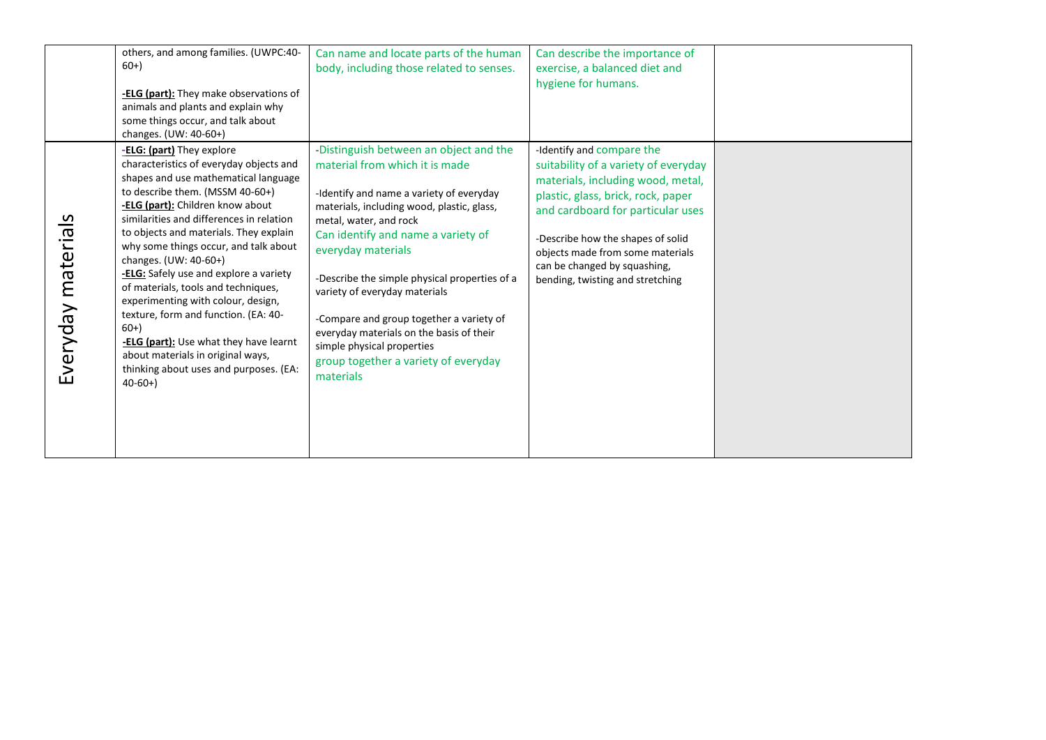|                    | others, and among families. (UWPC:40-<br>$60+$<br><b>-ELG (part):</b> They make observations of<br>animals and plants and explain why<br>some things occur, and talk about<br>changes. (UW: 40-60+)                                                                                                                                                                                                                                                                                                                                                                                                                                                      | Can name and locate parts of the human<br>body, including those related to senses.                                                                                                                                                                                                                                                                                                                                                                                                                                    | Can describe the importance of<br>exercise, a balanced diet and<br>hygiene for humans.                                                                                                                                                                                                                                         |  |
|--------------------|----------------------------------------------------------------------------------------------------------------------------------------------------------------------------------------------------------------------------------------------------------------------------------------------------------------------------------------------------------------------------------------------------------------------------------------------------------------------------------------------------------------------------------------------------------------------------------------------------------------------------------------------------------|-----------------------------------------------------------------------------------------------------------------------------------------------------------------------------------------------------------------------------------------------------------------------------------------------------------------------------------------------------------------------------------------------------------------------------------------------------------------------------------------------------------------------|--------------------------------------------------------------------------------------------------------------------------------------------------------------------------------------------------------------------------------------------------------------------------------------------------------------------------------|--|
| Everyday materials | -ELG: (part) They explore<br>characteristics of everyday objects and<br>shapes and use mathematical language<br>to describe them. (MSSM 40-60+)<br>-ELG (part): Children know about<br>similarities and differences in relation<br>to objects and materials. They explain<br>why some things occur, and talk about<br>changes. (UW: 40-60+)<br>-ELG: Safely use and explore a variety<br>of materials, tools and techniques,<br>experimenting with colour, design,<br>texture, form and function. (EA: 40-<br>$60+$<br>-ELG (part): Use what they have learnt<br>about materials in original ways,<br>thinking about uses and purposes. (EA:<br>$40-60+$ | -Distinguish between an object and the<br>material from which it is made<br>-Identify and name a variety of everyday<br>materials, including wood, plastic, glass,<br>metal, water, and rock<br>Can identify and name a variety of<br>everyday materials<br>-Describe the simple physical properties of a<br>variety of everyday materials<br>-Compare and group together a variety of<br>everyday materials on the basis of their<br>simple physical properties<br>group together a variety of everyday<br>materials | -Identify and compare the<br>suitability of a variety of everyday<br>materials, including wood, metal,<br>plastic, glass, brick, rock, paper<br>and cardboard for particular uses<br>-Describe how the shapes of solid<br>objects made from some materials<br>can be changed by squashing,<br>bending, twisting and stretching |  |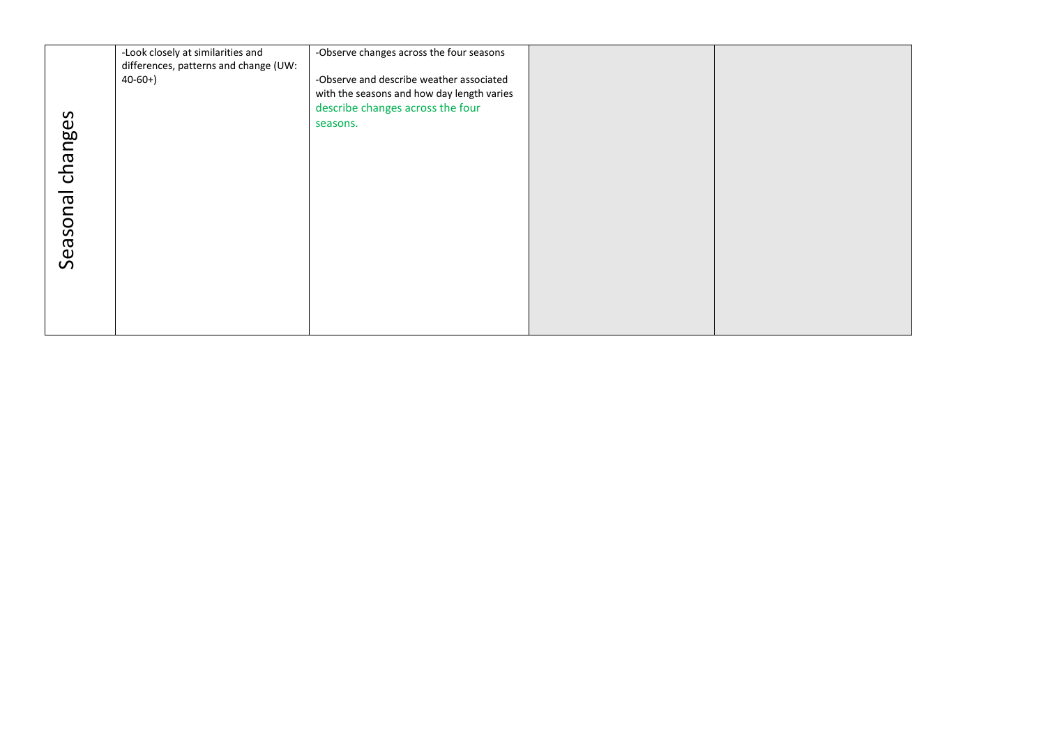|          | -Look closely at similarities and<br>differences, patterns and change (UW:<br>$40-60+$ | -Observe changes across the four seasons<br>-Observe and describe weather associated<br>with the seasons and how day length varies |  |
|----------|----------------------------------------------------------------------------------------|------------------------------------------------------------------------------------------------------------------------------------|--|
|          |                                                                                        | describe changes across the four<br>seasons.                                                                                       |  |
| changes  |                                                                                        |                                                                                                                                    |  |
|          |                                                                                        |                                                                                                                                    |  |
| Seasonal |                                                                                        |                                                                                                                                    |  |
|          |                                                                                        |                                                                                                                                    |  |
|          |                                                                                        |                                                                                                                                    |  |
|          |                                                                                        |                                                                                                                                    |  |
|          |                                                                                        |                                                                                                                                    |  |